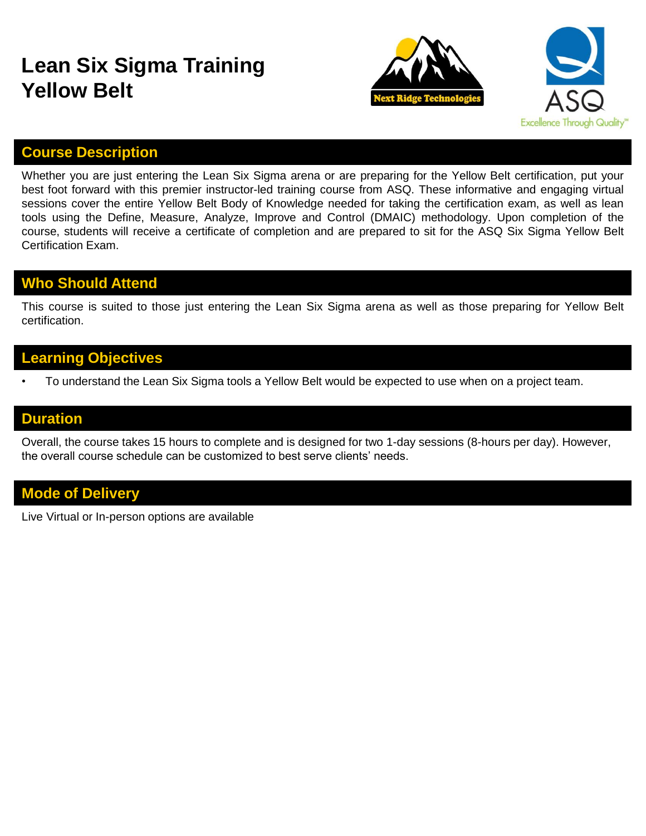## **Lean Six Sigma Training Yellow Belt**





#### **Course Description**

Whether you are just entering the Lean Six Sigma arena or are preparing for the Yellow Belt certification, put your best foot forward with this premier instructor-led training course from ASQ. These informative and engaging virtual sessions cover the entire Yellow Belt Body of Knowledge needed for taking the certification exam, as well as lean tools using the Define, Measure, Analyze, Improve and Control (DMAIC) methodology. Upon completion of the course, students will receive a certificate of completion and are prepared to sit for the ASQ Six Sigma Yellow Belt Certification Exam.

### **Who Should Attend**

This course is suited to those just entering the Lean Six Sigma arena as well as those preparing for Yellow Belt certification.

#### **Learning Objectives**

• To understand the Lean Six Sigma tools a Yellow Belt would be expected to use when on a project team.

#### **Duration**

Overall, the course takes 15 hours to complete and is designed for two 1-day sessions (8-hours per day). However, the overall course schedule can be customized to best serve clients' needs.

#### **Mode of Delivery**

Live Virtual or In-person options are available